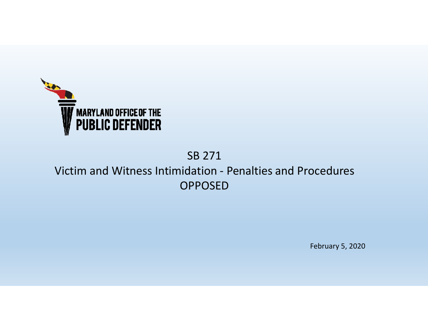

### SB 271 Victim and Witness Intimidation - Penalties and Procedures OPPOSED

February 5, 2020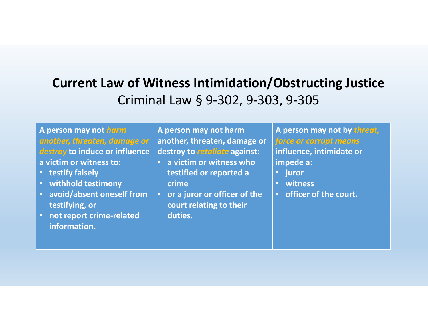# **Current Law of Witness Intimidation/Obstructing Justice**Criminal Law § 9-302, 9-303, 9-305

| A person may not harm                             | A person may not harm                       | A person may not by threat, |
|---------------------------------------------------|---------------------------------------------|-----------------------------|
| another, threaten, damage or                      | another, threaten, damage or                | force or corrupt means      |
| destroy to induce or influence                    | destroy to retaliate against:               | influence, intimidate or    |
| a victim or witness to:                           | a victim or witness who                     | impede a:                   |
| testify falsely<br>27                             | testified or reported a                     | juror                       |
| withhold testimony<br><b>O</b>                    | crime                                       | witness                     |
| avoid/absent oneself from<br>$\bullet$            | or a juror or officer of the<br>$\bullet$ , | officer of the court.       |
| testifying, or                                    | court relating to their                     |                             |
| not report crime-related<br>$\boldsymbol{\sigma}$ | duties.                                     |                             |
| information.                                      |                                             |                             |
|                                                   |                                             |                             |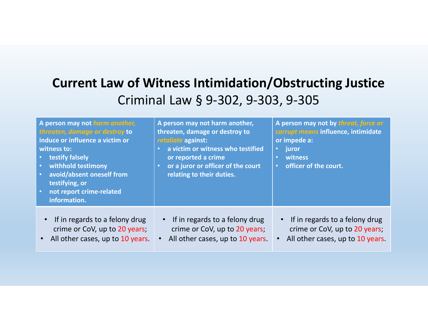# **Current Law of Witness Intimidation/Obstructing Justice**Criminal Law § 9-302, 9-303, 9-305

| A person may not harm another,<br>threaten, damage or destroy to<br>induce or influence a victim or<br>witness to:<br>• testify falsely<br>withhold testimony<br>$\bullet$<br>avoid/absent oneself from<br>$\bullet$<br>testifying, or<br>not report crime-related<br>$\bullet$ .<br>information. | A person may not harm another,<br>threaten, damage or destroy to<br>retaliate against:<br>a victim or witness who testified<br>$\bullet$<br>or reported a crime<br>or a juror or officer of the court<br>$\bullet$<br>relating to their duties. | A person may not by threat, force or<br>corrupt means influence, intimidate<br>or impede a:<br>juror<br>$\bullet$<br>witness<br>$\bullet$<br>officer of the court.<br>$\bullet$ |
|---------------------------------------------------------------------------------------------------------------------------------------------------------------------------------------------------------------------------------------------------------------------------------------------------|-------------------------------------------------------------------------------------------------------------------------------------------------------------------------------------------------------------------------------------------------|---------------------------------------------------------------------------------------------------------------------------------------------------------------------------------|
| • If in regards to a felony drug<br>crime or CoV, up to 20 years;<br>All other cases, up to 10 years.                                                                                                                                                                                             | If in regards to a felony drug<br>$\bullet$ .<br>crime or CoV, up to 20 years;<br>All other cases, up to 10 years.                                                                                                                              | • If in regards to a felony drug<br>crime or CoV, up to 20 years;<br>All other cases, up to 10 years.                                                                           |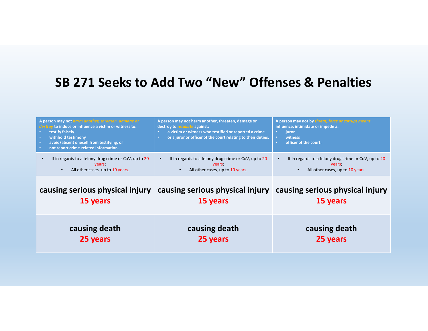| A person may not harm another, threaten, damage or<br>destroy to induce or influence a victim or witness to:<br>testify falsely<br>withhold testimony<br>$\bullet$<br>avoid/absent oneself from testifying, or<br>$\bullet$<br>not report crime-related information. | A person may not harm another, threaten, damage or<br>destroy to <i>retaliate</i> against:<br>a victim or witness who testified or reported a crime<br>or a juror or officer of the court relating to their duties.<br>٠ | A person may not by threat, force or corrupt means<br>influence, intimidate or impede a:<br><b>juror</b><br>٠<br>witness<br>$\bullet$<br>officer of the court.<br><b>o</b> |
|----------------------------------------------------------------------------------------------------------------------------------------------------------------------------------------------------------------------------------------------------------------------|--------------------------------------------------------------------------------------------------------------------------------------------------------------------------------------------------------------------------|----------------------------------------------------------------------------------------------------------------------------------------------------------------------------|
| If in regards to a felony drug crime or CoV, up to 20<br>years;<br>All other cases, up to 10 years.<br>$\bullet$                                                                                                                                                     | If in regards to a felony drug crime or CoV, up to 20<br>years.<br>All other cases, up to 10 years.                                                                                                                      | If in regards to a felony drug crime or CoV, up to 20<br>years;<br>All other cases, up to 10 years.                                                                        |
| causing serious physical injury<br>15 years                                                                                                                                                                                                                          | causing serious physical injury<br>15 years                                                                                                                                                                              | causing serious physical injury<br>15 years                                                                                                                                |
| causing death                                                                                                                                                                                                                                                        | causing death                                                                                                                                                                                                            | causing death                                                                                                                                                              |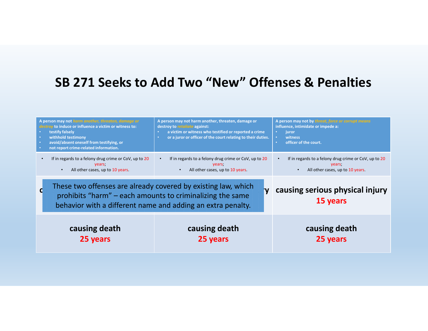|                                                                                                                                                                                           | A person may not harm another, threaten, damage or<br>to induce or influence a victim or witness to:<br>testify falsely<br>withhold testimony<br>avoid/absent oneself from testifying, or<br>not report crime-related information. | A person may not harm another, threaten, damage or<br>destroy to retaliate against:<br>a victim or witness who testified or reported a crime<br>or a juror or officer of the court relating to their duties.<br><b>o</b> | A person may not by threat, force or corrupt means<br>influence, intimidate or impede a:<br>$\bullet$<br>iuror<br>witness<br>$\bullet$<br>officer of the court.<br><b>o</b> |
|-------------------------------------------------------------------------------------------------------------------------------------------------------------------------------------------|------------------------------------------------------------------------------------------------------------------------------------------------------------------------------------------------------------------------------------|--------------------------------------------------------------------------------------------------------------------------------------------------------------------------------------------------------------------------|-----------------------------------------------------------------------------------------------------------------------------------------------------------------------------|
|                                                                                                                                                                                           | If in regards to a felony drug crime or CoV, up to 20<br>years;<br>All other cases, up to 10 years.<br>$\bullet$                                                                                                                   | If in regards to a felony drug crime or CoV, up to 20<br>years.<br>All other cases, up to 10 years.                                                                                                                      | If in regards to a felony drug crime or CoV, up to 20<br>years.<br>All other cases, up to 10 years.                                                                         |
| These two offenses are already covered by existing law, which<br>prohibits "harm" – each amounts to criminalizing the same<br>behavior with a different name and adding an extra penalty. |                                                                                                                                                                                                                                    | causing serious physical injury<br>15 years                                                                                                                                                                              |                                                                                                                                                                             |
|                                                                                                                                                                                           | causing death<br>25 years                                                                                                                                                                                                          | causing death<br>25 years                                                                                                                                                                                                | causing death<br>25 years                                                                                                                                                   |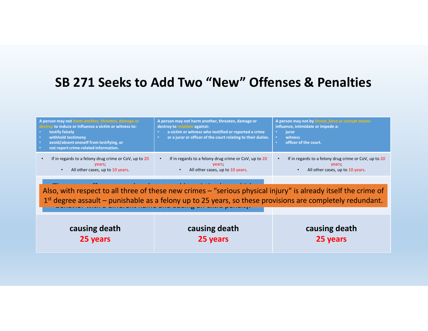| A person may not harm another, threaten, damage or<br>destroy to induce or influence a victim or witness to:<br>testify falsely<br>withhold testimony<br>avoid/absent oneself from testifying, or<br>not report crime-related information. | A person may not harm another, threaten, damage or<br>destroy to <i>retaliate</i> against:<br>a victim or witness who testified or reported a crime<br>or a juror or officer of the court relating to their duties. | A person may not by threat, force or corrupt means<br>influence, intimidate or impede a:<br>juror<br>witness<br>officer of the court. |
|--------------------------------------------------------------------------------------------------------------------------------------------------------------------------------------------------------------------------------------------|---------------------------------------------------------------------------------------------------------------------------------------------------------------------------------------------------------------------|---------------------------------------------------------------------------------------------------------------------------------------|
| If in regards to a felony drug crime or CoV, up to 20                                                                                                                                                                                      | If in regards to a felony drug crime or CoV, up to 20                                                                                                                                                               | If in regards to a felony drug crime or CoV, up to 20                                                                                 |
| years;                                                                                                                                                                                                                                     | vears;                                                                                                                                                                                                              | years;                                                                                                                                |
| All other cases, up to 10 years.                                                                                                                                                                                                           | All other cases, up to 10 years.                                                                                                                                                                                    | All other cases, up to 10 years.                                                                                                      |

Also, with respect to all three of these new crimes – "serious physical injury" is already itself the crime of 15 years 15 years to an amod of ancient criminal solved privated injury to amount to criminal eggree assault – punishable as a felony up to 25 years, so these provisions are completely behavior with a different name and adding an extra penalty. $1^{\text{st}}$  degree assault – punishable as a felony up to 25 years, so these provisions are completely redundant.

| causing death | causing death | causing death |
|---------------|---------------|---------------|
| 25 years      | 25 years      | 25 years      |
|               |               |               |